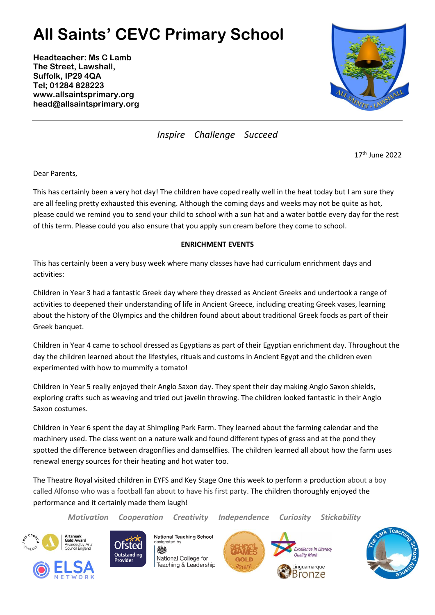## **All Saints' CEVC Primary School**

**Headteacher: Ms C Lamb The Street, Lawshall, Suffolk, IP29 4QA Tel; 01284 828223 www.allsaintsprimary.org head@allsaintsprimary.org**



*Inspire Challenge Succeed*

17th June 2022

Dear Parents,

This has certainly been a very hot day! The children have coped really well in the heat today but I am sure they are all feeling pretty exhausted this evening. Although the coming days and weeks may not be quite as hot, please could we remind you to send your child to school with a sun hat and a water bottle every day for the rest of this term. Please could you also ensure that you apply sun cream before they come to school.

## **ENRICHMENT EVENTS**

This has certainly been a very busy week where many classes have had curriculum enrichment days and activities:

Children in Year 3 had a fantastic Greek day where they dressed as Ancient Greeks and undertook a range of activities to deepened their understanding of life in Ancient Greece, including creating Greek vases, learning about the history of the Olympics and the children found about about traditional Greek foods as part of their Greek banquet.

Children in Year 4 came to school dressed as Egyptians as part of their Egyptian enrichment day. Throughout the day the children learned about the lifestyles, rituals and customs in Ancient Egypt and the children even experimented with how to mummify a tomato!

Children in Year 5 really enjoyed their Anglo Saxon day. They spent their day making Anglo Saxon shields, exploring crafts such as weaving and tried out javelin throwing. The children looked fantastic in their Anglo Saxon costumes.

Children in Year 6 spent the day at Shimpling Park Farm. They learned about the farming calendar and the machinery used. The class went on a nature walk and found different types of grass and at the pond they spotted the difference between dragonflies and damselflies. The children learned all about how the farm uses renewal energy sources for their heating and hot water too.

The Theatre Royal visited children in EYFS and Key Stage One this week to perform a production about a boy called Alfonso who was a football fan about to have his first party. The children thoroughly enjoyed the performance and it certainly made them laugh!

*Motivation Cooperation Creativity Independence Curiosity Stickability*